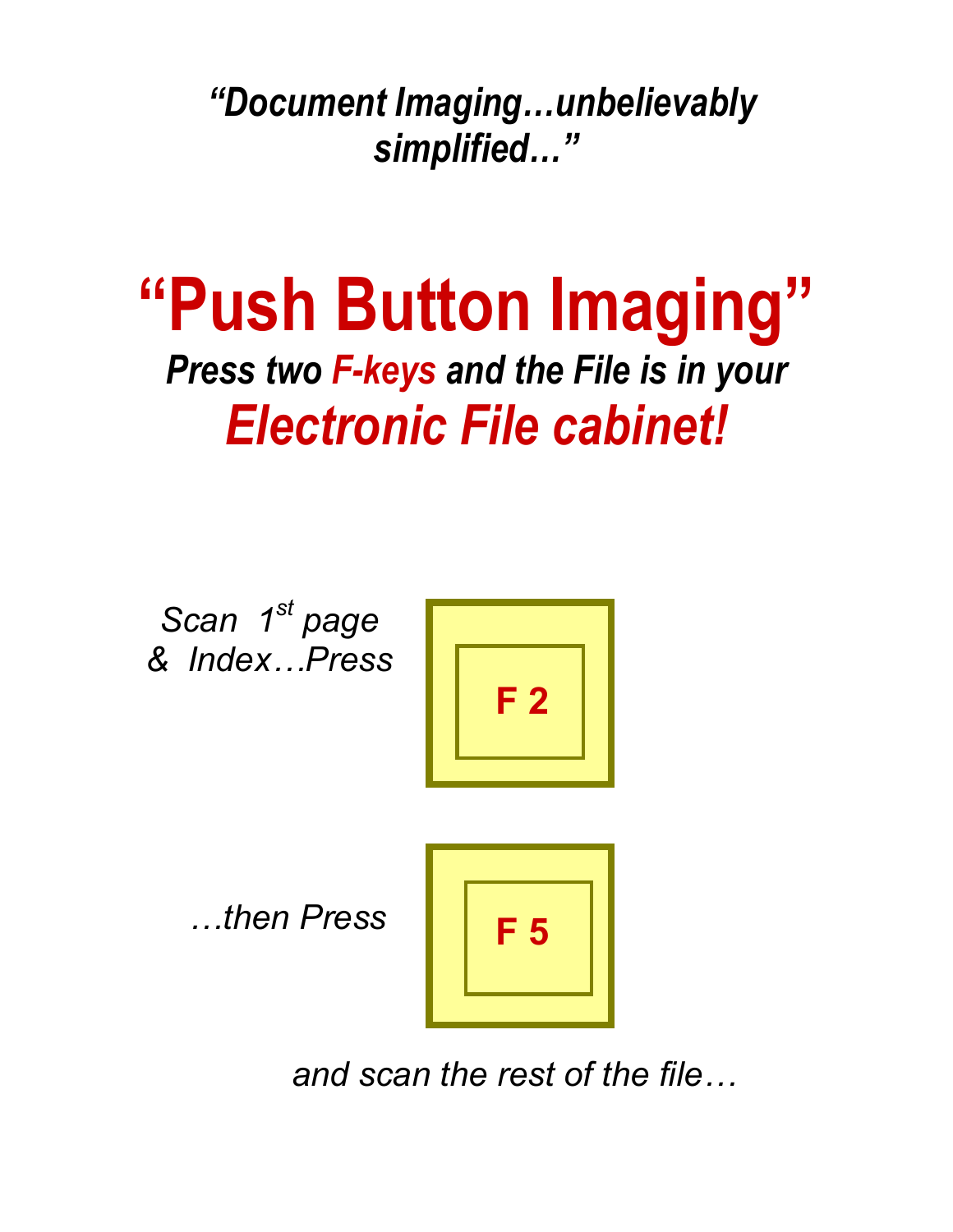*"Document Imaging…unbelievably simplified…"* 

# **"Push Button Imaging"**  *Press two F-keys and the File is in your Electronic File cabinet!*

*Scan 1st page & Index…Press* 



 *…then Press* 



 *and scan the rest of the file…*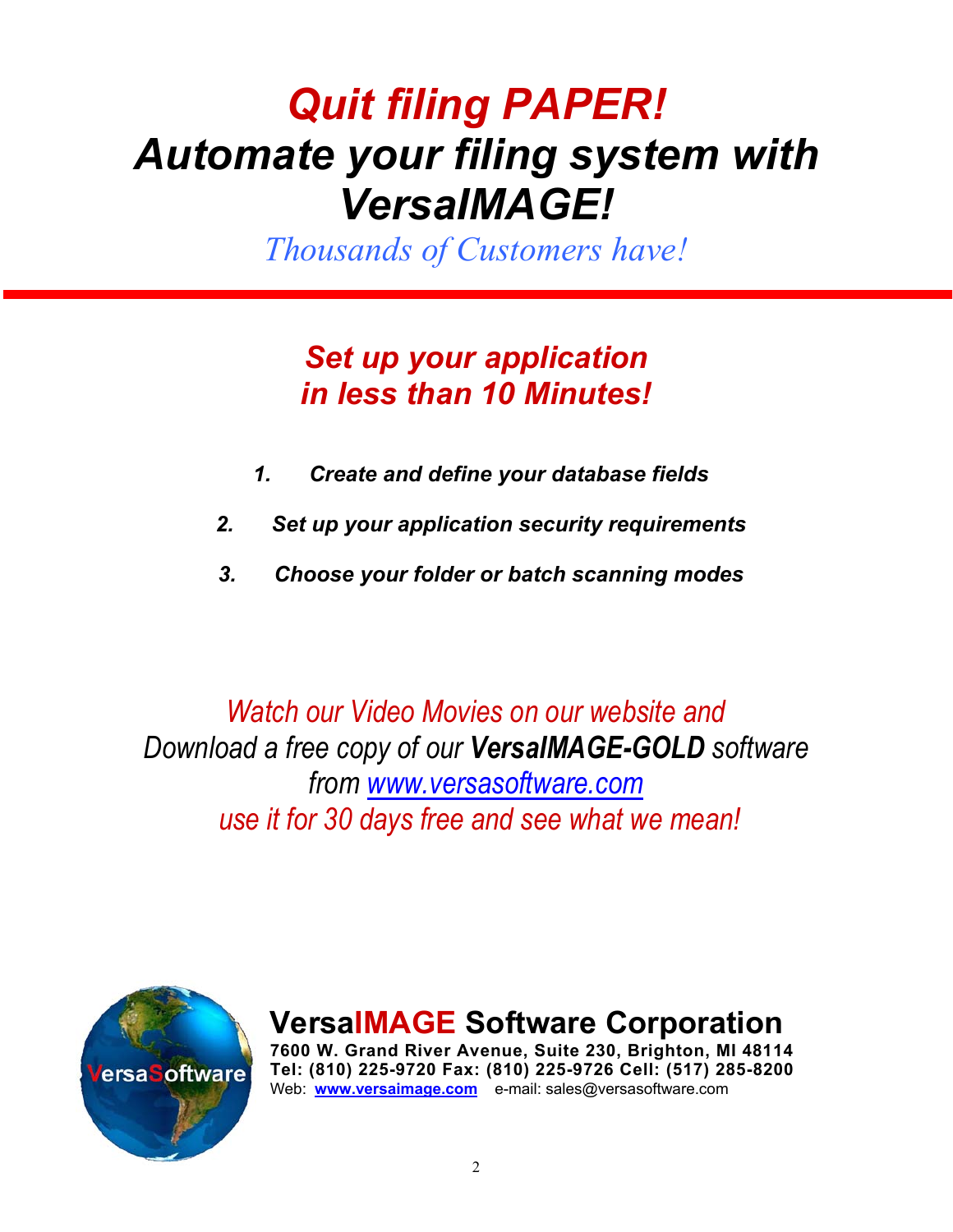## *Quit filing PAPER! Automate your filing system with VersaIMAGE!*

*Thousands of Customers have!* 

### *Set up your application in less than 10 Minutes!*

- *1. Create and define your database fields*
- *2. Set up your application security requirements*
- *3. Choose your folder or batch scanning modes*

*Watch our Video Movies on our website and Download a free copy of our VersaIMAGE-GOLD software from www.versasoftware.com use it for 30 days free and see what we mean!*



**VersaIMAGE Software Corporation 7600 W. Grand River Avenue, Suite 230, Brighton, MI 48114** 

**Tel: (810) 225-9720 Fax: (810) 225-9726 Cell: (517) 285-8200**  Web: **www.versaimage.com** e-mail: sales@versasoftware.com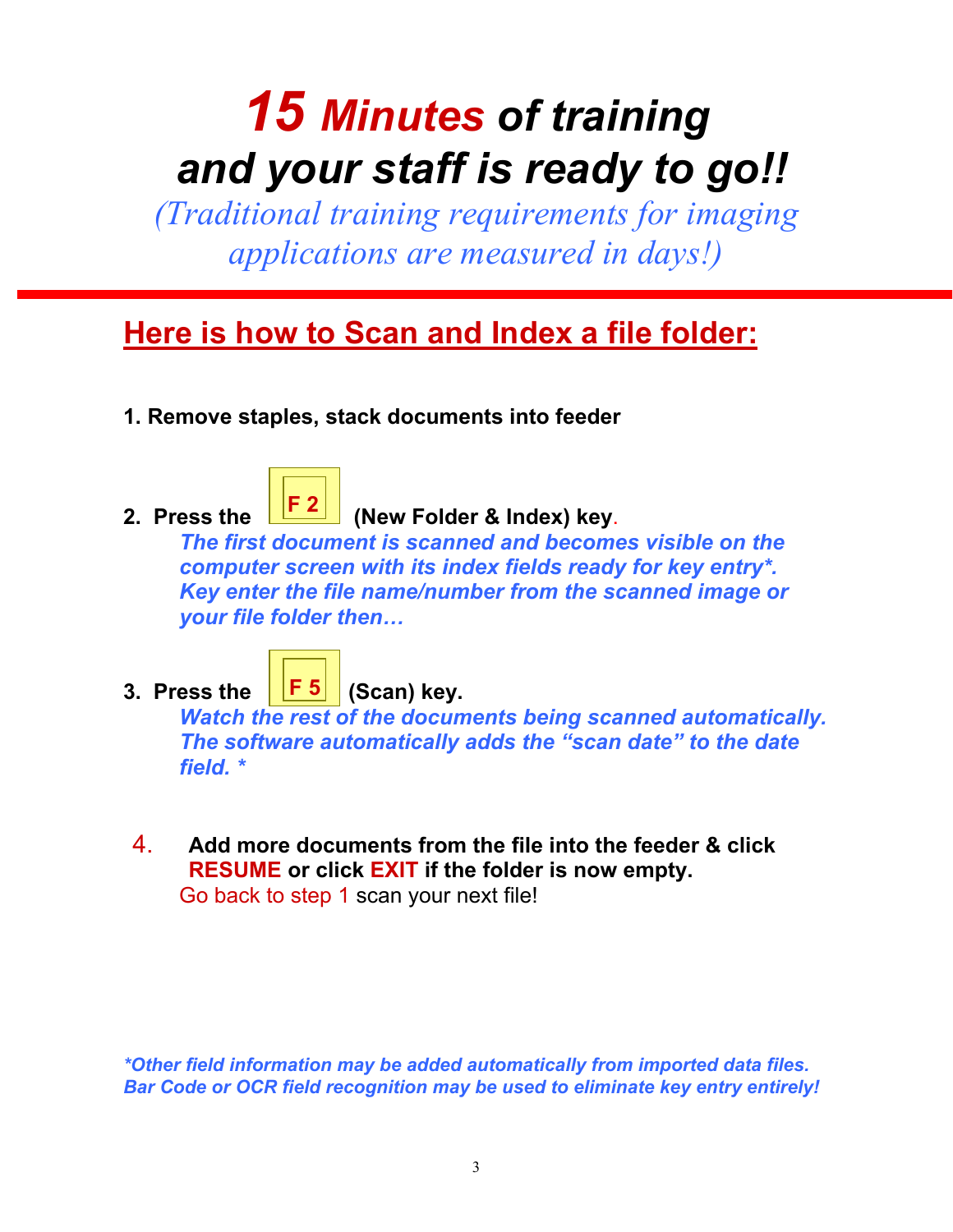# *15 Minutes of training and your staff is ready to go!!*

*(Traditional training requirements for imaging applications are measured in days!)* 

### **Here is how to Scan and Index a file folder:**

**1. Remove staples, stack documents into feeder** 



### 2. Press the **FE (New Folder & Index) key.**

*The first document is scanned and becomes visible on the computer screen with its index fields ready for key entry\*. Key enter the file name/number from the scanned image or your file folder then…* 

**F 5** 

### 3. Press the  $\left| \begin{array}{c} \boxed{F} & 5 \end{array} \right|$  (Scan) key.

*Watch the rest of the documents being scanned automatically. The software automatically adds the "scan date" to the date field. \** 

4. **Add more documents from the file into the feeder & click RESUME or click EXIT if the folder is now empty.** Go back to step 1 scan your next file!

*\*Other field information may be added automatically from imported data files. Bar Code or OCR field recognition may be used to eliminate key entry entirely!*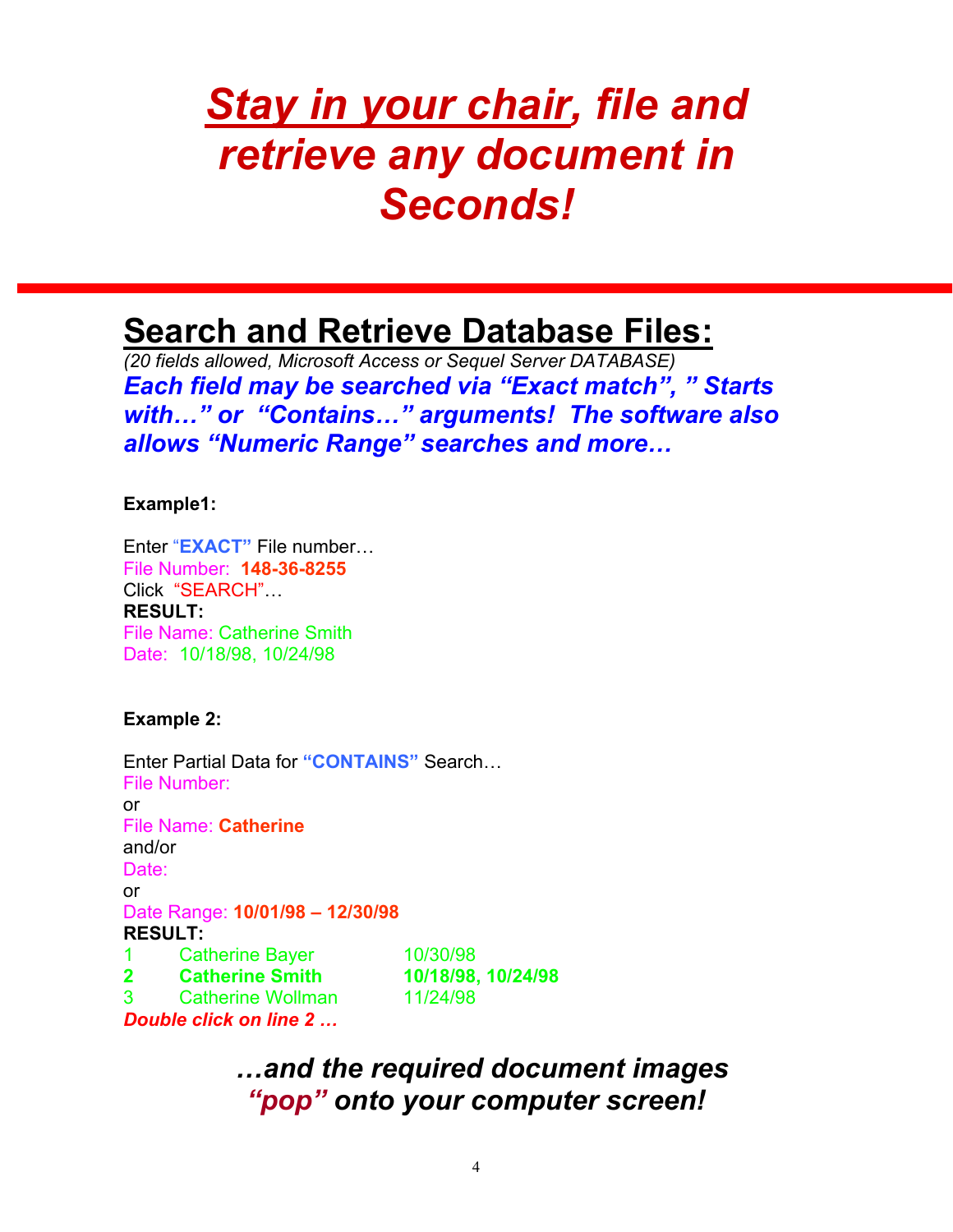## *Stay in your chair, file and retrieve any document in Seconds!*

### **Search and Retrieve Database Files:**

*(20 fields allowed, Microsoft Access or Sequel Server DATABASE) Each field may be searched via "Exact match", " Starts with…" or "Contains…" arguments! The software also allows "Numeric Range" searches and more…* 

### **Example1:**

Enter "**EXACT"** File number… File Number: **148-36-8255** Click "SEARCH"… **RESULT:**  File Name: Catherine Smith Date: 10/18/98, 10/24/98

**Example 2:** 

Enter Partial Data for **"CONTAINS"** Search… File Number: or File Name: **Catherine**  and/or Date: or Date Range: **10/01/98 – 12/30/98 RESULT:**  1 Catherine Bayer 10/30/98 **2 Catherine Smith 10/18/98, 10/24/98**  3 Catherine Wollman 11/24/98 *Double click on line 2 …* 

> *…and the required document images "pop" onto your computer screen!*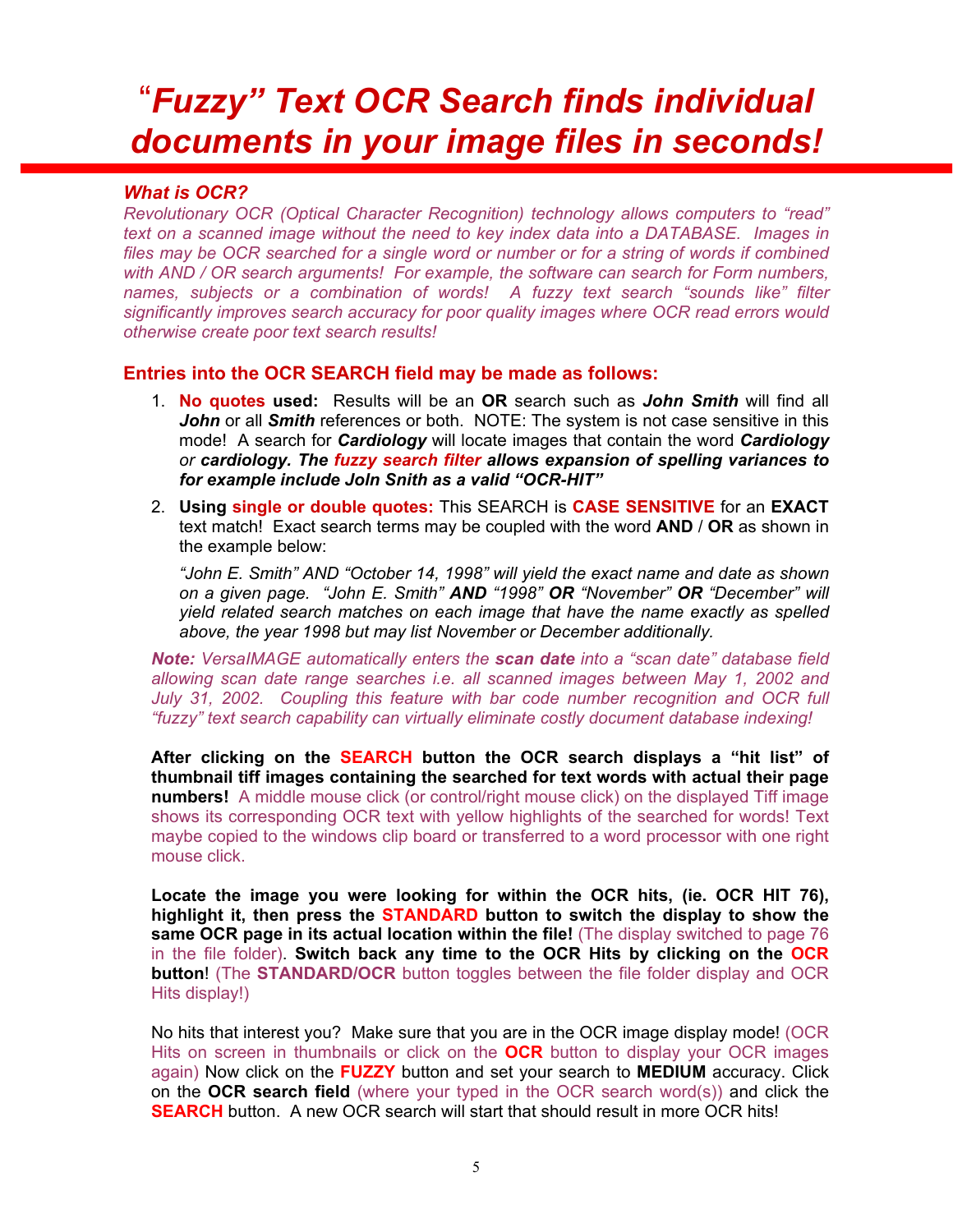## "*Fuzzy" Text OCR Search finds individual documents in your image files in seconds!*

#### *What is OCR?*

*Revolutionary OCR (Optical Character Recognition) technology allows computers to "read" text on a scanned image without the need to key index data into a DATABASE. Images in*  files may be OCR searched for a single word or number or for a string of words if combined *with AND / OR search arguments! For example, the software can search for Form numbers, names, subjects or a combination of words! A fuzzy text search "sounds like" filter significantly improves search accuracy for poor quality images where OCR read errors would otherwise create poor text search results!* 

#### **Entries into the OCR SEARCH field may be made as follows:**

- 1. **No quotes used:** Results will be an **OR** search such as *John Smith* will find all *John* or all *Smith* references or both. NOTE: The system is not case sensitive in this mode! A search for *Cardiology* will locate images that contain the word *Cardiology or cardiology. The fuzzy search filter allows expansion of spelling variances to for example include Joln Snith as a valid "OCR-HIT"*
- 2. **Using single or double quotes:** This SEARCH is **CASE SENSITIVE** for an **EXACT** text match! Exact search terms may be coupled with the word **AND** / **OR** as shown in the example below:

*"John E. Smith" AND "October 14, 1998" will yield the exact name and date as shown on a given page. "John E. Smith" AND "1998" OR "November" OR "December" will yield related search matches on each image that have the name exactly as spelled above, the year 1998 but may list November or December additionally.* 

*Note: VersaIMAGE automatically enters the scan date into a "scan date" database field allowing scan date range searches i.e. all scanned images between May 1, 2002 and*  July 31, 2002. Coupling this feature with bar code number recognition and OCR full *"fuzzy" text search capability can virtually eliminate costly document database indexing!* 

**After clicking on the SEARCH button the OCR search displays a "hit list" of thumbnail tiff images containing the searched for text words with actual their page numbers!** A middle mouse click (or control/right mouse click) on the displayed Tiff image shows its corresponding OCR text with yellow highlights of the searched for words! Text maybe copied to the windows clip board or transferred to a word processor with one right mouse click.

**Locate the image you were looking for within the OCR hits, (ie. OCR HIT 76), highlight it, then press the STANDARD button to switch the display to show the same OCR page in its actual location within the file!** (The display switched to page 76 in the file folder). **Switch back any time to the OCR Hits by clicking on the OCR button**! (The **STANDARD/OCR** button toggles between the file folder display and OCR Hits display!)

No hits that interest you? Make sure that you are in the OCR image display mode! (OCR Hits on screen in thumbnails or click on the **OCR** button to display your OCR images again) Now click on the **FUZZY** button and set your search to **MEDIUM** accuracy. Click on the **OCR search field** (where your typed in the OCR search word(s)) and click the **SEARCH** button. A new OCR search will start that should result in more OCR hits!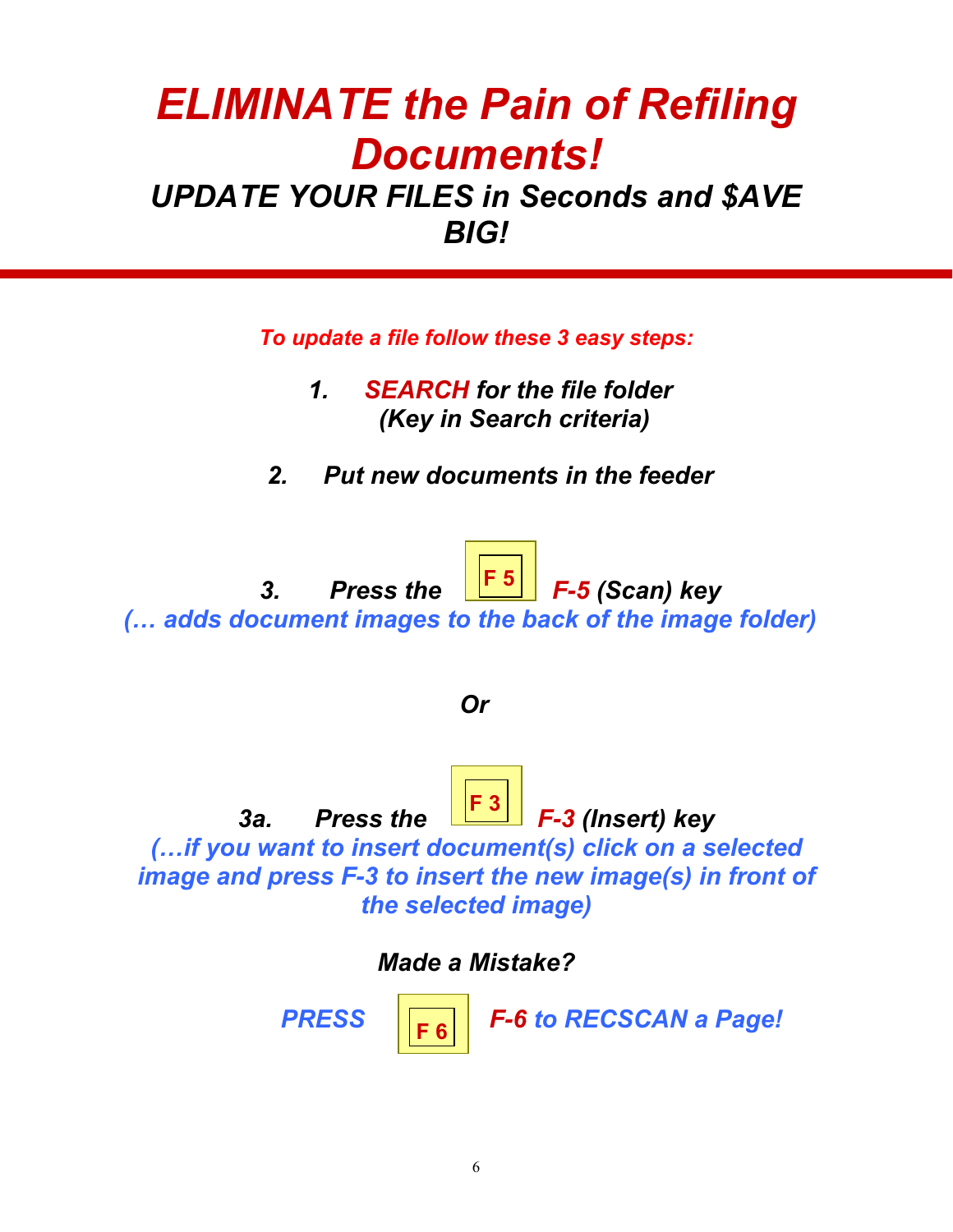## *ELIMINATE the Pain of Refiling Documents!*

### *UPDATE YOUR FILES in Seconds and \$AVE BIG!*

*To update a file follow these 3 easy steps:* 

- *1. SEARCH for the file folder (Key in Search criteria)*
- *2. Put new documents in the feeder*



*Or* 

3a. Press the **F-3** (Insert) key *(…if you want to insert document(s) click on a selected image and press F-3 to insert the new image(s) in front of the selected image)*  Ī **F 3** 

*Made a Mistake?* 

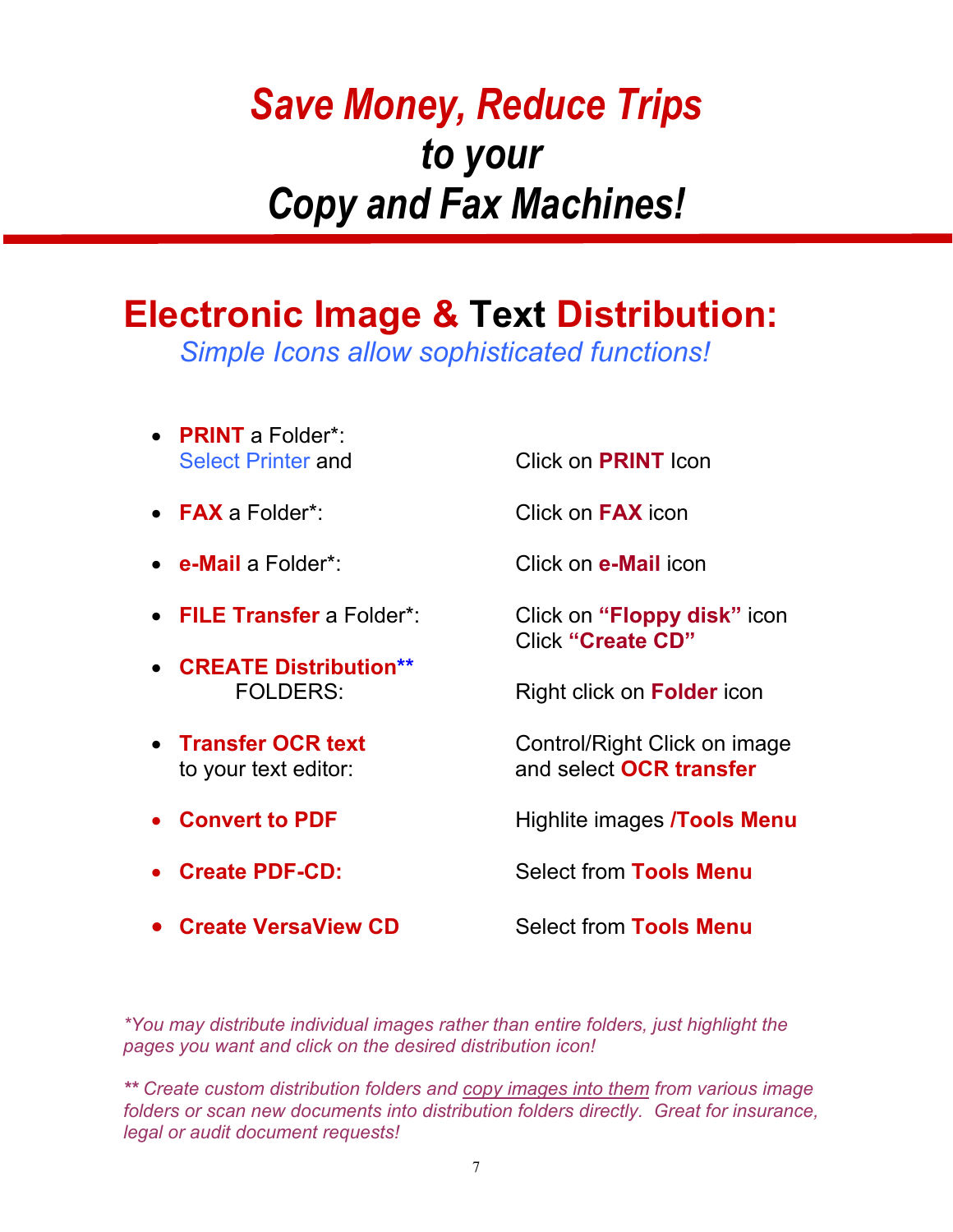## *Save Money, Reduce Trips to your Copy and Fax Machines!*

## **Electronic Image & Text Distribution:**

*Simple Icons allow sophisticated functions!* 

• **PRINT** a Folder\*: Select Printer and Click on **PRINT** Icon • **FAX** a Folder\*: Click on **FAX** icon • **e-Mail** a Folder\*: Click on **e-Mail** icon • **FILE Transfer** a Folder\*: Click on **"Floppy disk"** icon Click **"Create CD"** • **CREATE Distribution\*\*** FOLDERS:Right click on **Folder** icon **Finansfer OCR text Control/Right Click on image** to your text editor: and select **OCR transfer** • **Convert to PDF Highlite images /Tools Menu Create PDF-CD:** Select from **Tools Menu • Create VersaView CD** Select from Tools Menu

*\*You may distribute individual images rather than entire folders, just highlight the pages you want and click on the desired distribution icon!* 

*\*\* Create custom distribution folders and copy images into them from various image folders or scan new documents into distribution folders directly. Great for insurance, legal or audit document requests!*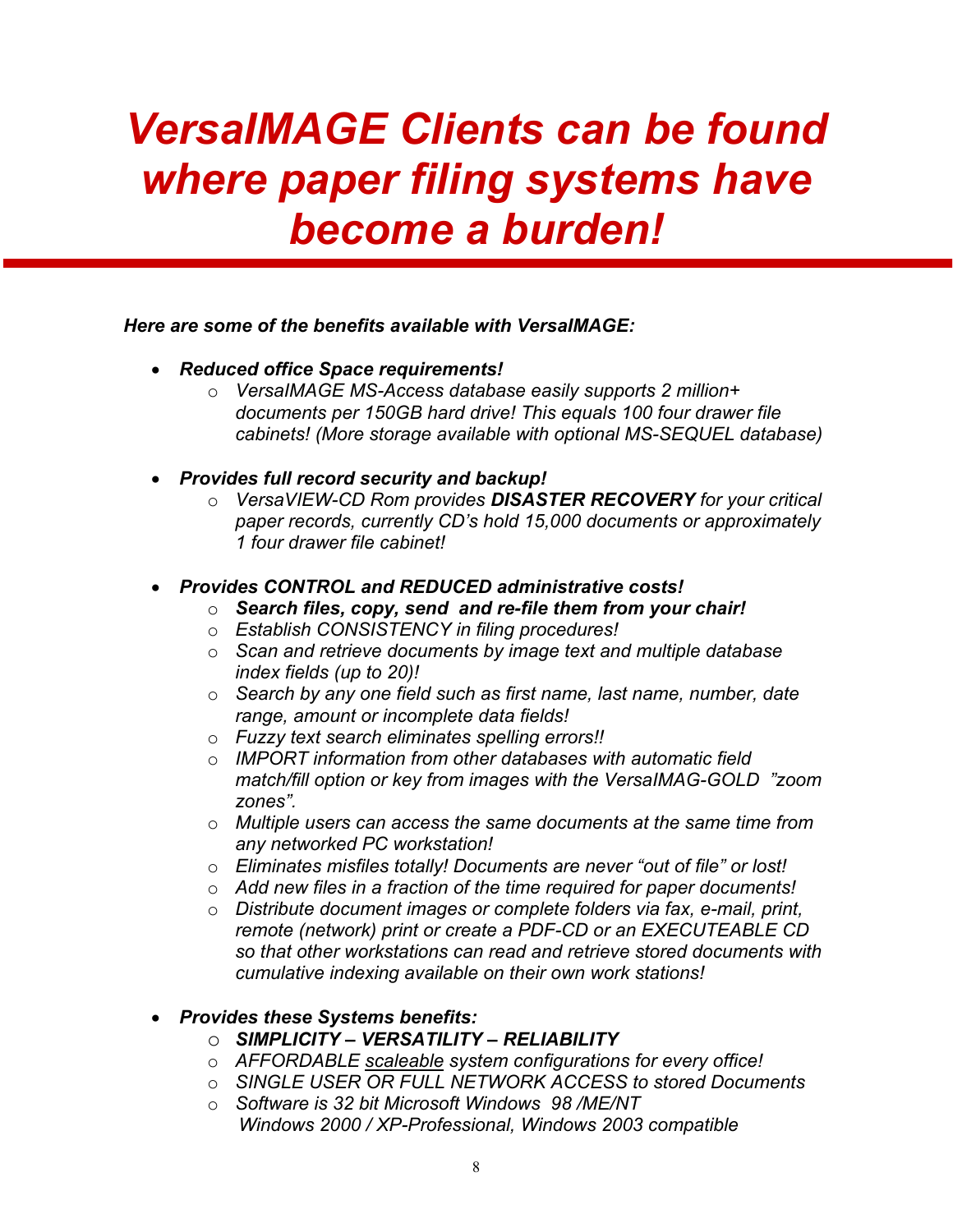## *VersaIMAGE Clients can be found where paper filing systems have become a burden!*

### *Here are some of the benefits available with VersaIMAGE:*

- *Reduced office Space requirements!* 
	- o *VersaIMAGE MS-Access database easily supports 2 million+ documents per 150GB hard drive! This equals 100 four drawer file cabinets! (More storage available with optional MS-SEQUEL database)*
- *Provides full record security and backup!* 
	- o *VersaVIEW-CD Rom provides DISASTER RECOVERY for your critical paper records, currently CD's hold 15,000 documents or approximately 1 four drawer file cabinet!*

### • *Provides CONTROL and REDUCED administrative costs!*

- o *Search files, copy, send and re-file them from your chair!*
- o *Establish CONSISTENCY in filing procedures!*
- o *Scan and retrieve documents by image text and multiple database index fields (up to 20)!*
- o *Search by any one field such as first name, last name, number, date range, amount or incomplete data fields!*
- o *Fuzzy text search eliminates spelling errors!!*
- o *IMPORT information from other databases with automatic field match/fill option or key from images with the VersaIMAG-GOLD "zoom zones".*
- o *Multiple users can access the same documents at the same time from any networked PC workstation!*
- o *Eliminates misfiles totally! Documents are never "out of file" or lost!*
- o *Add new files in a fraction of the time required for paper documents!*
- o *Distribute document images or complete folders via fax, e-mail, print, remote (network) print or create a PDF-CD or an EXECUTEABLE CD so that other workstations can read and retrieve stored documents with cumulative indexing available on their own work stations!*

### • *Provides these Systems benefits:*

- o *SIMPLICITY VERSATILITY RELIABILITY*
- o *AFFORDABLE scaleable system configurations for every office!*
- o *SINGLE USER OR FULL NETWORK ACCESS to stored Documents*
- o *Software is 32 bit Microsoft Windows 98 /ME/NT Windows 2000 / XP-Professional, Windows 2003 compatible*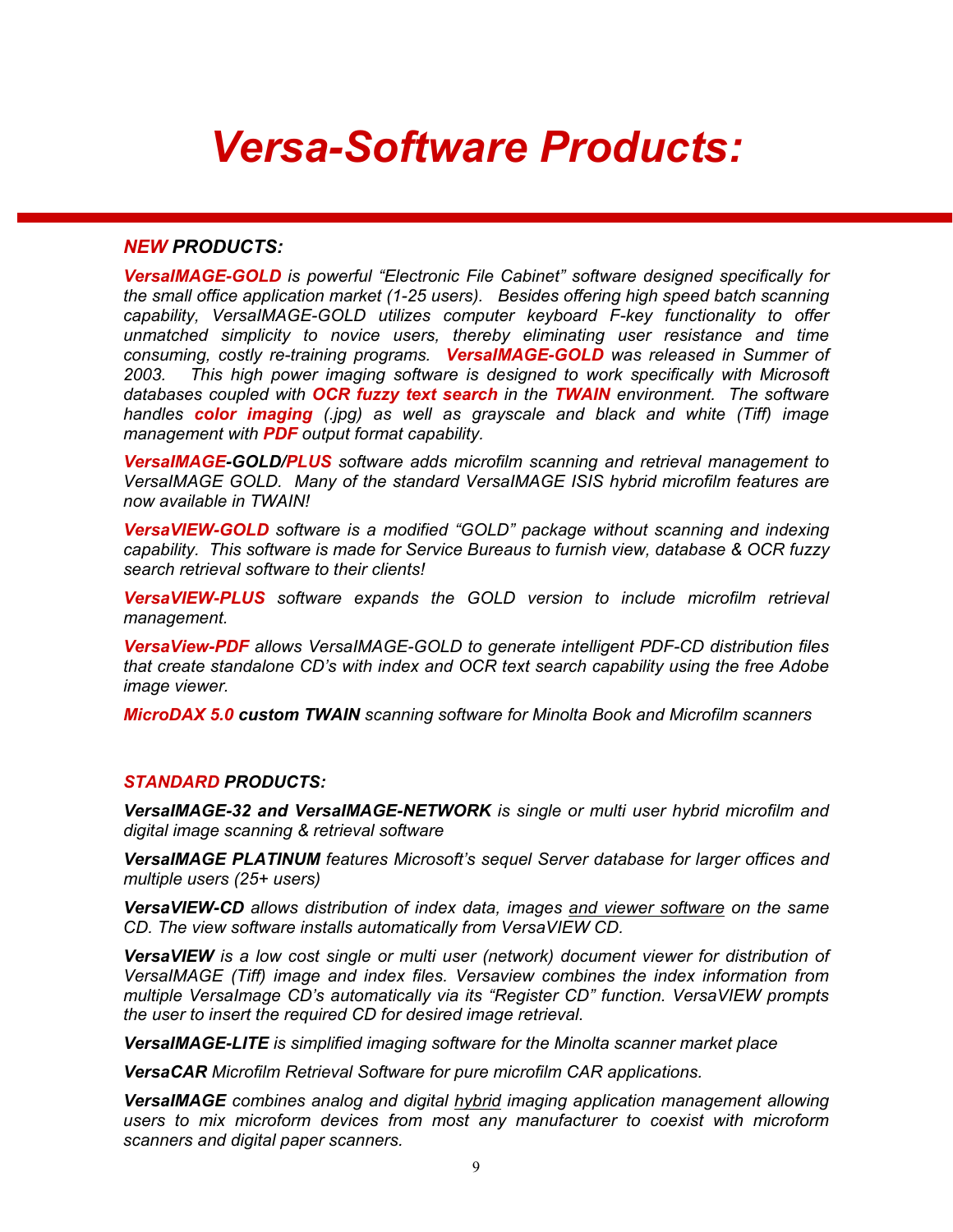## *Versa-Software Products:*

#### *NEW PRODUCTS:*

*VersaIMAGE-GOLD is powerful "Electronic File Cabinet" software designed specifically for the small office application market (1-25 users). Besides offering high speed batch scanning capability, VersaIMAGE-GOLD utilizes computer keyboard F-key functionality to offer unmatched simplicity to novice users, thereby eliminating user resistance and time consuming, costly re-training programs. VersaIMAGE-GOLD was released in Summer of*  2003. This high power imaging software is designed to work specifically with Microsoft *databases coupled with OCR fuzzy text search in the TWAIN environment. The software handles color imaging (.jpg) as well as grayscale and black and white (Tiff) image management with PDF output format capability.* 

*VersaIMAGE-GOLD/PLUS software adds microfilm scanning and retrieval management to VersaIMAGE GOLD. Many of the standard VersaIMAGE ISIS hybrid microfilm features are now available in TWAIN!* 

*VersaVIEW-GOLD software is a modified "GOLD" package without scanning and indexing capability. This software is made for Service Bureaus to furnish view, database & OCR fuzzy search retrieval software to their clients!*

*VersaVIEW-PLUS software expands the GOLD version to include microfilm retrieval management.*

*VersaView-PDF allows VersaIMAGE-GOLD to generate intelligent PDF-CD distribution files that create standalone CD's with index and OCR text search capability using the free Adobe image viewer.*

*MicroDAX 5.0 custom TWAIN scanning software for Minolta Book and Microfilm scanners*

#### *STANDARD PRODUCTS:*

*VersaIMAGE-32 and VersaIMAGE-NETWORK is single or multi user hybrid microfilm and digital image scanning & retrieval software* 

*VersaIMAGE PLATINUM features Microsoft's sequel Server database for larger offices and multiple users (25+ users)* 

*VersaVIEW-CD allows distribution of index data, images and viewer software on the same CD. The view software installs automatically from VersaVIEW CD.* 

*VersaVIEW is a low cost single or multi user (network) document viewer for distribution of VersaIMAGE (Tiff) image and index files. Versaview combines the index information from multiple VersaImage CD's automatically via its "Register CD" function. VersaVIEW prompts the user to insert the required CD for desired image retrieval.* 

*VersaIMAGE-LITE is simplified imaging software for the Minolta scanner market place* 

*VersaCAR Microfilm Retrieval Software for pure microfilm CAR applications.* 

*VersaIMAGE combines analog and digital hybrid imaging application management allowing users to mix microform devices from most any manufacturer to coexist with microform scanners and digital paper scanners.*